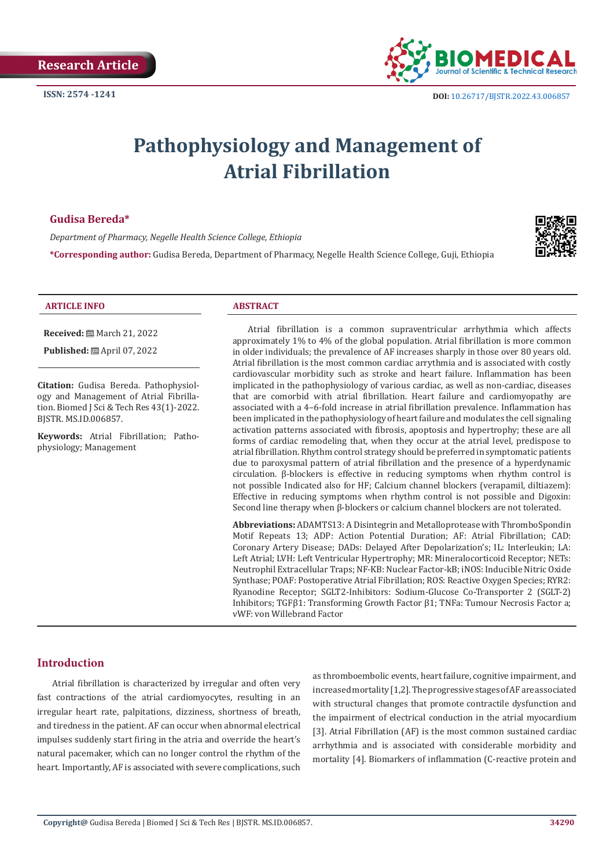

# **Pathophysiology and Management of Atrial Fibrillation**

# **Gudisa Bereda\***

*Department of Pharmacy, Negelle Health Science College, Ethiopia* 

**\*Corresponding author:** Gudisa Bereda, Department of Pharmacy, Negelle Health Science College, Guji, Ethiopia



#### **ARTICLE INFO ABSTRACT**

BJSTR. MS.ID.006857.

physiology; Management

**Received:** March 21, 2022 **Published:** ■ April 07, 2022

**Citation:** Gudisa Bereda. Pathophysiology and Management of Atrial Fibrillation. Biomed J Sci & Tech Res 43(1)-2022.

**Keywords:** Atrial Fibrillation; Patho-

Atrial fibrillation is a common supraventricular arrhythmia which affects approximately 1% to 4% of the global population. Atrial fibrillation is more common in older individuals; the prevalence of AF increases sharply in those over 80 years old. Atrial fibrillation is the most common cardiac arrythmia and is associated with costly cardiovascular morbidity such as stroke and heart failure. Inflammation has been implicated in the pathophysiology of various cardiac, as well as non-cardiac, diseases that are comorbid with atrial fibrillation. Heart failure and cardiomyopathy are associated with a 4–6-fold increase in atrial fibrillation prevalence. Inflammation has been implicated in the pathophysiology of heart failure and modulates the cell signaling activation patterns associated with fibrosis, apoptosis and hypertrophy; these are all forms of cardiac remodeling that, when they occur at the atrial level, predispose to atrial fibrillation. Rhythm control strategy should be preferred in symptomatic patients due to paroxysmal pattern of atrial fibrillation and the presence of a hyperdynamic circulation. β-blockers is effective in reducing symptoms when rhythm control is not possible Indicated also for HF; Calcium channel blockers (verapamil, diltiazem): Effective in reducing symptoms when rhythm control is not possible and Digoxin: Second line therapy when β-blockers or calcium channel blockers are not tolerated.

**Abbreviations:** ADAMTS13: A Disintegrin and Metalloprotease with ThromboSpondin Motif Repeats 13; ADP: Action Potential Duration; AF: Atrial Fibrillation; CAD: Coronary Artery Disease; DADs: Delayed After Depolarization's; IL: Interleukin; LA: Left Atrial; LVH: Left Ventricular Hypertrophy; MR: Mineralocorticoid Receptor; NETs: Neutrophil Extracellular Traps; NF-KB: Nuclear Factor-kB; iNOS: Inducible Nitric Oxide Synthase; POAF: Postoperative Atrial Fibrillation; ROS: Reactive Oxygen Species; RYR2: Ryanodine Receptor; SGLT2-Inhibitors: Sodium-Glucose Co-Transporter 2 (SGLT-2) Inhibitors; TGFβ1: Transforming Growth Factor β1; TNFa: Tumour Necrosis Factor a; vWF: von Willebrand Factor

# **Introduction**

Atrial fibrillation is characterized by irregular and often very fast contractions of the atrial cardiomyocytes, resulting in an irregular heart rate, palpitations, dizziness, shortness of breath, and tiredness in the patient. AF can occur when abnormal electrical impulses suddenly start firing in the atria and override the heart's natural pacemaker, which can no longer control the rhythm of the heart. Importantly, AF is associated with severe complications, such

as thromboembolic events, heart failure, cognitive impairment, and increased mortality [1,2]. The progressive stages of AF are associated with structural changes that promote contractile dysfunction and the impairment of electrical conduction in the atrial myocardium [3]. Atrial Fibrillation (AF) is the most common sustained cardiac arrhythmia and is associated with considerable morbidity and mortality [4]. Biomarkers of inflammation (C-reactive protein and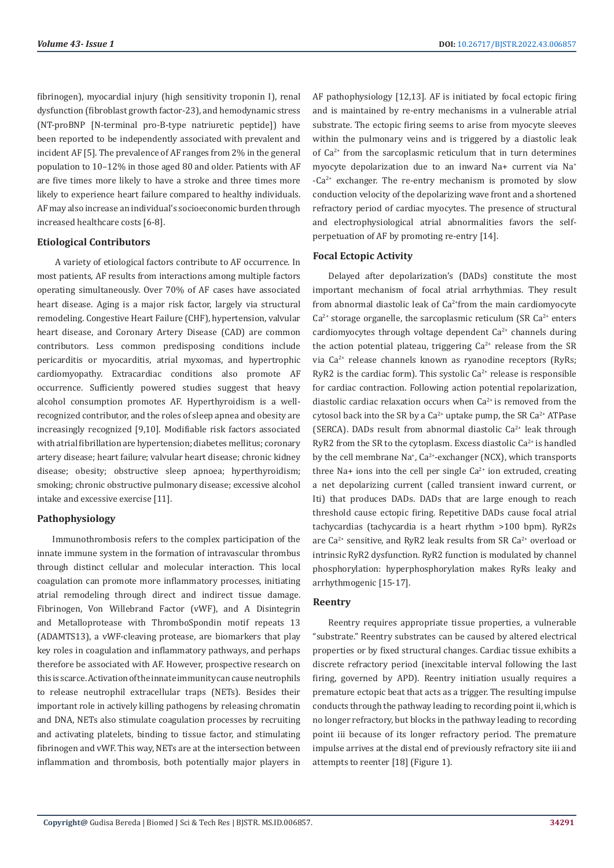fibrinogen), myocardial injury (high sensitivity troponin I), renal dysfunction (fibroblast growth factor-23), and hemodynamic stress (NT-proBNP [N-terminal pro-B-type natriuretic peptide]) have been reported to be independently associated with prevalent and incident AF [5]. The prevalence of AF ranges from 2% in the general population to 10–12% in those aged 80 and older. Patients with AF are five times more likely to have a stroke and three times more likely to experience heart failure compared to healthy individuals. AF may also increase an individual's socioeconomic burden through increased healthcare costs [6-8].

# **Etiological Contributors**

 A variety of etiological factors contribute to AF occurrence. In most patients, AF results from interactions among multiple factors operating simultaneously. Over 70% of AF cases have associated heart disease. Aging is a major risk factor, largely via structural remodeling. Congestive Heart Failure (CHF), hypertension, valvular heart disease, and Coronary Artery Disease (CAD) are common contributors. Less common predisposing conditions include pericarditis or myocarditis, atrial myxomas, and hypertrophic cardiomyopathy. Extracardiac conditions also promote AF occurrence. Sufficiently powered studies suggest that heavy alcohol consumption promotes AF. Hyperthyroidism is a wellrecognized contributor, and the roles of sleep apnea and obesity are increasingly recognized [9,10]. Modifiable risk factors associated with atrial fibrillation are hypertension; diabetes mellitus; coronary artery disease; heart failure; valvular heart disease; chronic kidney disease; obesity; obstructive sleep apnoea; hyperthyroidism; smoking; chronic obstructive pulmonary disease; excessive alcohol intake and excessive exercise [11].

## **Pathophysiology**

Immunothrombosis refers to the complex participation of the innate immune system in the formation of intravascular thrombus through distinct cellular and molecular interaction. This local coagulation can promote more inflammatory processes, initiating atrial remodeling through direct and indirect tissue damage. Fibrinogen, Von Willebrand Factor (vWF), and A Disintegrin and Metalloprotease with ThromboSpondin motif repeats 13 (ADAMTS13), a vWF-cleaving protease, are biomarkers that play key roles in coagulation and inflammatory pathways, and perhaps therefore be associated with AF. However, prospective research on this is scarce. Activation of the innate immunity can cause neutrophils to release neutrophil extracellular traps (NETs). Besides their important role in actively killing pathogens by releasing chromatin and DNA, NETs also stimulate coagulation processes by recruiting and activating platelets, binding to tissue factor, and stimulating fibrinogen and vWF. This way, NETs are at the intersection between inflammation and thrombosis, both potentially major players in

AF pathophysiology [12,13]. AF is initiated by focal ectopic firing and is maintained by re-entry mechanisms in a vulnerable atrial substrate. The ectopic firing seems to arise from myocyte sleeves within the pulmonary veins and is triggered by a diastolic leak of Ca2+ from the sarcoplasmic reticulum that in turn determines myocyte depolarization due to an inward Na+ current via Na<sup>+</sup>  $-Ca<sup>2+</sup>$  exchanger. The re-entry mechanism is promoted by slow conduction velocity of the depolarizing wave front and a shortened refractory period of cardiac myocytes. The presence of structural and electrophysiological atrial abnormalities favors the selfperpetuation of AF by promoting re-entry [14].

## **Focal Ectopic Activity**

Delayed after depolarization's (DADs) constitute the most important mechanism of focal atrial arrhythmias. They result from abnormal diastolic leak of  $Ca^{2+}$ from the main cardiomyocyte  $Ca<sup>2+</sup>$  storage organelle, the sarcoplasmic reticulum (SR  $Ca<sup>2+</sup>$  enters cardiomyocytes through voltage dependent  $Ca<sup>2+</sup>$  channels during the action potential plateau, triggering  $Ca^{2+}$  release from the SR via Ca<sup>2+</sup> release channels known as ryanodine receptors (RyRs; RyR2 is the cardiac form). This systolic  $Ca^{2+}$  release is responsible for cardiac contraction. Following action potential repolarization, diastolic cardiac relaxation occurs when  $Ca^{2+}$  is removed from the cytosol back into the SR by a  $Ca^{2+}$  uptake pump, the SR  $Ca^{2+}$  ATPase (SERCA). DADs result from abnormal diastolic  $Ca^{2+}$  leak through RyR2 from the SR to the cytoplasm. Excess diastolic  $Ca^{2+}$  is handled by the cell membrane Na<sup>+</sup>, Ca<sup>2+</sup>-exchanger (NCX), which transports three Na+ ions into the cell per single  $Ca<sup>2+</sup>$  ion extruded, creating a net depolarizing current (called transient inward current, or Iti) that produces DADs. DADs that are large enough to reach threshold cause ectopic firing. Repetitive DADs cause focal atrial tachycardias (tachycardia is a heart rhythm >100 bpm). RyR2s are  $Ca^{2+}$  sensitive, and RyR2 leak results from SR  $Ca^{2+}$  overload or intrinsic RyR2 dysfunction. RyR2 function is modulated by channel phosphorylation: hyperphosphorylation makes RyRs leaky and arrhythmogenic [15-17].

## **Reentry**

Reentry requires appropriate tissue properties, a vulnerable "substrate." Reentry substrates can be caused by altered electrical properties or by fixed structural changes. Cardiac tissue exhibits a discrete refractory period (inexcitable interval following the last firing, governed by APD). Reentry initiation usually requires a premature ectopic beat that acts as a trigger. The resulting impulse conducts through the pathway leading to recording point ii, which is no longer refractory, but blocks in the pathway leading to recording point iii because of its longer refractory period. The premature impulse arrives at the distal end of previously refractory site iii and attempts to reenter [18] (Figure 1).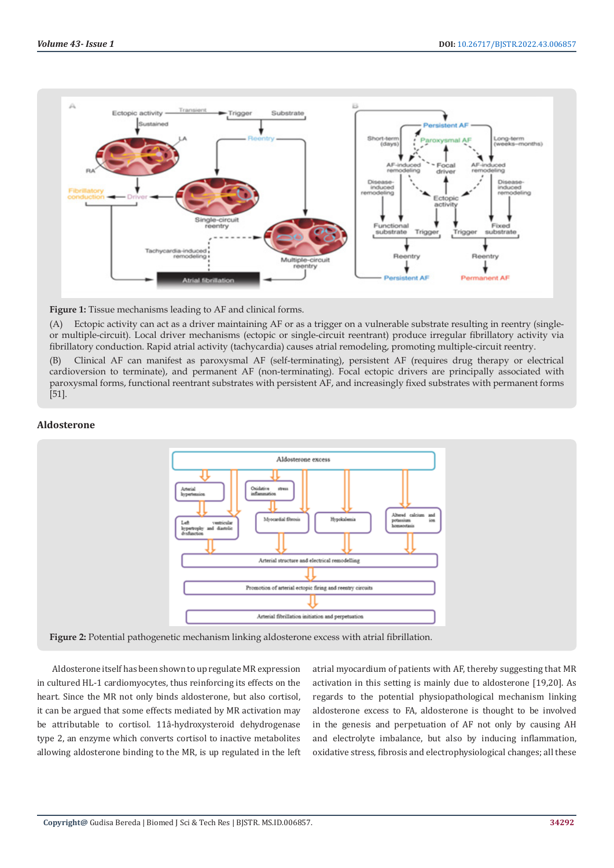

## **Figure 1:** Tissue mechanisms leading to AF and clinical forms.

(A) Ectopic activity can act as a driver maintaining AF or as a trigger on a vulnerable substrate resulting in reentry (singleor multiple-circuit). Local driver mechanisms (ectopic or single-circuit reentrant) produce irregular fibrillatory activity via fibrillatory conduction. Rapid atrial activity (tachycardia) causes atrial remodeling, promoting multiple-circuit reentry.

(B) Clinical AF can manifest as paroxysmal AF (self-terminating), persistent AF (requires drug therapy or electrical cardioversion to terminate), and permanent AF (non-terminating). Focal ectopic drivers are principally associated with paroxysmal forms, functional reentrant substrates with persistent AF, and increasingly fixed substrates with permanent forms [51].

## **Aldosterone**



**Figure 2:** Potential pathogenetic mechanism linking aldosterone excess with atrial fibrillation.

Aldosterone itself has been shown to up regulate MR expression in cultured HL-1 cardiomyocytes, thus reinforcing its effects on the heart. Since the MR not only binds aldosterone, but also cortisol, it can be argued that some effects mediated by MR activation may be attributable to cortisol. 11â-hydroxysteroid dehydrogenase type 2, an enzyme which converts cortisol to inactive metabolites allowing aldosterone binding to the MR, is up regulated in the left atrial myocardium of patients with AF, thereby suggesting that MR activation in this setting is mainly due to aldosterone [19,20]. As regards to the potential physiopathological mechanism linking aldosterone excess to FA, aldosterone is thought to be involved in the genesis and perpetuation of AF not only by causing AH and electrolyte imbalance, but also by inducing inflammation, oxidative stress, fibrosis and electrophysiological changes; all these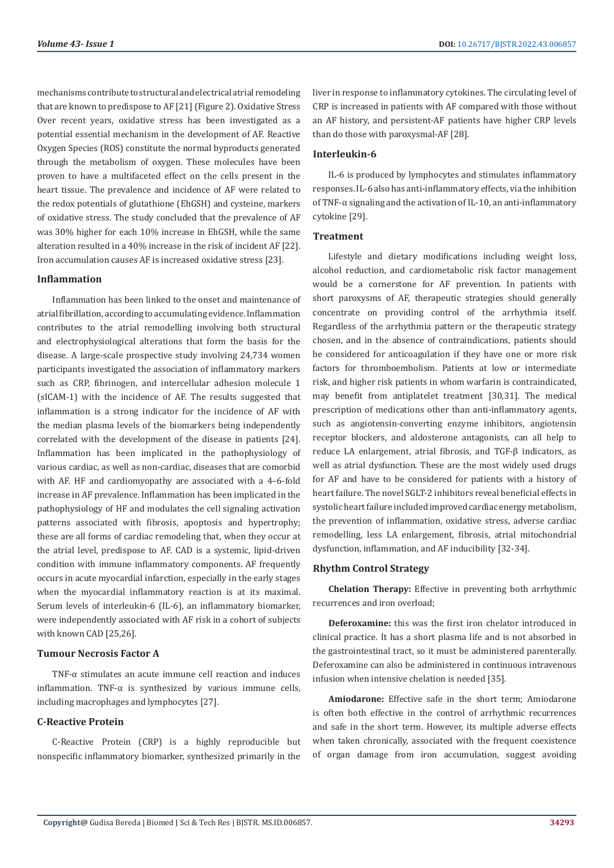mechanisms contribute to structural and electrical atrial remodeling that are known to predispose to AF [21] (Figure 2). Oxidative Stress Over recent years, oxidative stress has been investigated as a potential essential mechanism in the development of AF. Reactive Oxygen Species (ROS) constitute the normal byproducts generated through the metabolism of oxygen. These molecules have been proven to have a multifaceted effect on the cells present in the heart tissue. The prevalence and incidence of AF were related to the redox potentials of glutathione (EhGSH) and cysteine, markers of oxidative stress. The study concluded that the prevalence of AF was 30% higher for each 10% increase in EhGSH, while the same alteration resulted in a 40% increase in the risk of incident AF [22]. Iron accumulation causes AF is increased oxidative stress [23].

## **Inflammation**

Inflammation has been linked to the onset and maintenance of atrial fibrillation, according to accumulating evidence. Inflammation contributes to the atrial remodelling involving both structural and electrophysiological alterations that form the basis for the disease. A large-scale prospective study involving 24,734 women participants investigated the association of inflammatory markers such as CRP, fibrinogen, and intercellular adhesion molecule 1 (sICAM-1) with the incidence of AF. The results suggested that inflammation is a strong indicator for the incidence of AF with the median plasma levels of the biomarkers being independently correlated with the development of the disease in patients [24]. Inflammation has been implicated in the pathophysiology of various cardiac, as well as non-cardiac, diseases that are comorbid with AF. HF and cardiomyopathy are associated with a 4–6-fold increase in AF prevalence. Inflammation has been implicated in the pathophysiology of HF and modulates the cell signaling activation patterns associated with fibrosis, apoptosis and hypertrophy; these are all forms of cardiac remodeling that, when they occur at the atrial level, predispose to AF. CAD is a systemic, lipid-driven condition with immune inflammatory components. AF frequently occurs in acute myocardial infarction, especially in the early stages when the myocardial inflammatory reaction is at its maximal. Serum levels of interleukin-6 (IL-6), an inflammatory biomarker, were independently associated with AF risk in a cohort of subjects with known CAD [25,26].

## **Tumour Necrosis Factor A**

TNF-α stimulates an acute immune cell reaction and induces inflammation. TNF- $\alpha$  is synthesized by various immune cells, including macrophages and lymphocytes [27].

# **C-Reactive Protein**

C-Reactive Protein (CRP) is a highly reproducible but nonspecific inflammatory biomarker, synthesized primarily in the

liver in response to inflammatory cytokines. The circulating level of CRP is increased in patients with AF compared with those without an AF history, and persistent-AF patients have higher CRP levels than do those with paroxysmal-AF [28].

# **Interleukin-6**

IL-6 is produced by lymphocytes and stimulates inflammatory responses. IL-6 also has anti-inflammatory effects, via the inhibition of TNF-α signaling and the activation of IL-10, an anti-inflammatory cytokine [29].

## **Treatment**

Lifestyle and dietary modifications including weight loss, alcohol reduction, and cardiometabolic risk factor management would be a cornerstone for AF prevention. In patients with short paroxysms of AF, therapeutic strategies should generally concentrate on providing control of the arrhythmia itself. Regardless of the arrhythmia pattern or the therapeutic strategy chosen, and in the absence of contraindications, patients should be considered for anticoagulation if they have one or more risk factors for thromboembolism. Patients at low or intermediate risk, and higher risk patients in whom warfarin is contraindicated, may benefit from antiplatelet treatment [30,31]. The medical prescription of medications other than anti-inflammatory agents, such as angiotensin-converting enzyme inhibitors, angiotensin receptor blockers, and aldosterone antagonists, can all help to reduce LA enlargement, atrial fibrosis, and TGF-β indicators, as well as atrial dysfunction. These are the most widely used drugs for AF and have to be considered for patients with a history of heart failure. The novel SGLT-2 inhibitors reveal beneficial effects in systolic heart failure included improved cardiac energy metabolism, the prevention of inflammation, oxidative stress, adverse cardiac remodelling, less LA enlargement, fibrosis, atrial mitochondrial dysfunction, inflammation, and AF inducibility [32-34].

## **Rhythm Control Strategy**

**Chelation Therapy:** Effective in preventing both arrhythmic recurrences and iron overload;

**Deferoxamine:** this was the first iron chelator introduced in clinical practice. It has a short plasma life and is not absorbed in the gastrointestinal tract, so it must be administered parenterally. Deferoxamine can also be administered in continuous intravenous infusion when intensive chelation is needed [35].

**Amiodarone:** Effective safe in the short term; Amiodarone is often both effective in the control of arrhythmic recurrences and safe in the short term. However, its multiple adverse effects when taken chronically, associated with the frequent coexistence of organ damage from iron accumulation, suggest avoiding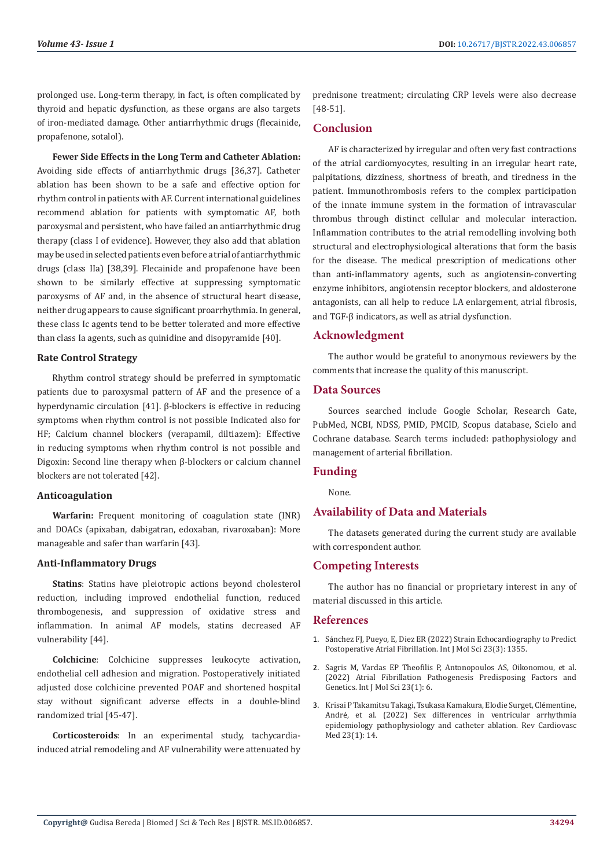prolonged use. Long-term therapy, in fact, is often complicated by thyroid and hepatic dysfunction, as these organs are also targets of iron-mediated damage. Other antiarrhythmic drugs (flecainide, propafenone, sotalol).

**Fewer Side Effects in the Long Term and Catheter Ablation:** Avoiding side effects of antiarrhythmic drugs [36,37]. Catheter ablation has been shown to be a safe and effective option for rhythm control in patients with AF. Current international guidelines recommend ablation for patients with symptomatic AF, both paroxysmal and persistent, who have failed an antiarrhythmic drug therapy (class I of evidence). However, they also add that ablation may be used in selected patients even before a trial of antiarrhythmic drugs (class IIa) [38,39]. Flecainide and propafenone have been shown to be similarly effective at suppressing symptomatic paroxysms of AF and, in the absence of structural heart disease, neither drug appears to cause significant proarrhythmia. In general, these class Ic agents tend to be better tolerated and more effective than class Ia agents, such as quinidine and disopyramide [40].

## **Rate Control Strategy**

Rhythm control strategy should be preferred in symptomatic patients due to paroxysmal pattern of AF and the presence of a hyperdynamic circulation [41]. β-blockers is effective in reducing symptoms when rhythm control is not possible Indicated also for HF; Calcium channel blockers (verapamil, diltiazem): Effective in reducing symptoms when rhythm control is not possible and Digoxin: Second line therapy when β-blockers or calcium channel blockers are not tolerated [42].

## **Anticoagulation**

**Warfarin:** Frequent monitoring of coagulation state (INR) and DOACs (apixaban, dabigatran, edoxaban, rivaroxaban): More manageable and safer than warfarin [43].

## **Anti-Inflammatory Drugs**

**Statins**: Statins have pleiotropic actions beyond cholesterol reduction, including improved endothelial function, reduced thrombogenesis, and suppression of oxidative stress and inflammation. In animal AF models, statins decreased AF vulnerability [44].

**Colchicine**: Colchicine suppresses leukocyte activation, endothelial cell adhesion and migration. Postoperatively initiated adjusted dose colchicine prevented POAF and shortened hospital stay without significant adverse effects in a double-blind randomized trial [45-47].

**Corticosteroids**: In an experimental study, tachycardiainduced atrial remodeling and AF vulnerability were attenuated by

prednisone treatment; circulating CRP levels were also decrease [48-51].

# **Conclusion**

AF is characterized by irregular and often very fast contractions of the atrial cardiomyocytes, resulting in an irregular heart rate, palpitations, dizziness, shortness of breath, and tiredness in the patient. Immunothrombosis refers to the complex participation of the innate immune system in the formation of intravascular thrombus through distinct cellular and molecular interaction. Inflammation contributes to the atrial remodelling involving both structural and electrophysiological alterations that form the basis for the disease. The medical prescription of medications other than anti-inflammatory agents, such as angiotensin-converting enzyme inhibitors, angiotensin receptor blockers, and aldosterone antagonists, can all help to reduce LA enlargement, atrial fibrosis, and TGF-β indicators, as well as atrial dysfunction.

# **Acknowledgment**

The author would be grateful to anonymous reviewers by the comments that increase the quality of this manuscript.

# **Data Sources**

Sources searched include Google Scholar, Research Gate, PubMed, NCBI, NDSS, PMID, PMCID, Scopus database, Scielo and Cochrane database. Search terms included: pathophysiology and management of arterial fibrillation.

# **Funding**

None.

# **Availability of Data and Materials**

The datasets generated during the current study are available with correspondent author.

# **Competing Interests**

The author has no financial or proprietary interest in any of material discussed in this article.

# **References**

- 1. Sá[nchez FJ, Pueyo, E, Diez ER \(2022\) Strain Echocardiography to Predict](https://pubmed.ncbi.nlm.nih.gov/35163278/) [Postoperative Atrial Fibrillation. Int J Mol Sci 23\(3\): 1355.](https://pubmed.ncbi.nlm.nih.gov/35163278/)
- 2. [Sagris M, Vardas EP Theofilis P, Antonopoulos AS, Oikonomou, et al.](https://pubmed.ncbi.nlm.nih.gov/35008432/) [\(2022\) Atrial Fibrillation Pathogenesis Predisposing Factors and](https://pubmed.ncbi.nlm.nih.gov/35008432/) [Genetics. Int J Mol Sci 23\(1\): 6.](https://pubmed.ncbi.nlm.nih.gov/35008432/)
- 3. [Krisai P Takamitsu Takagi, Tsukasa Kamakura, Elodie Surget, Cl](https://pubmed.ncbi.nlm.nih.gov/35092206/)émentine, André[, et al. \(2022\) Sex differences in ventricular arrhythmia](https://pubmed.ncbi.nlm.nih.gov/35092206/) [epidemiology pathophysiology and catheter ablation. Rev Cardiovasc](https://pubmed.ncbi.nlm.nih.gov/35092206/) [Med 23\(1\): 14.](https://pubmed.ncbi.nlm.nih.gov/35092206/)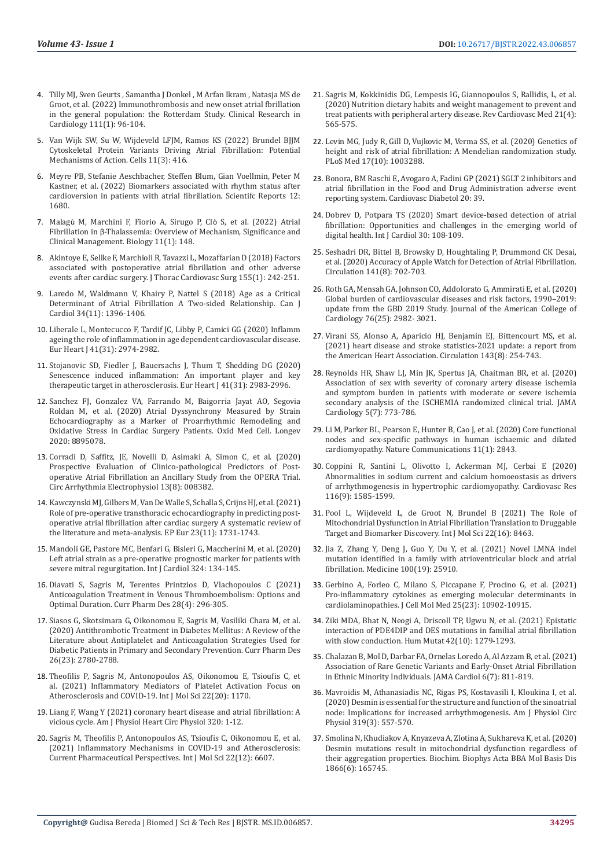- 4. [Tilly MJ, Sven Geurts , Samantha J Donkel , M Arfan Ikram , Natasja MS de](https://pubmed.ncbi.nlm.nih.gov/34559294/)  [Groot, et al. \(2022\) Immunothrombosis and new onset atrial fbrillation](https://pubmed.ncbi.nlm.nih.gov/34559294/)  [in the general population: the Rotterdam Study. Clinical Research in](https://pubmed.ncbi.nlm.nih.gov/34559294/)  [Cardiology 111\(1\): 96-104.](https://pubmed.ncbi.nlm.nih.gov/34559294/)
- 5. [Van Wijk SW, Su W, Wijdeveld LFJM, Ramos KS \(2022\) Brundel BJJM](https://www.mdpi.com/2073-4409/11/3/416)  [Cytoskeletal Protein Variants Driving Atrial Fibrillation: Potential](https://www.mdpi.com/2073-4409/11/3/416)  [Mechanisms of Action. Cells 11\(3\): 416.](https://www.mdpi.com/2073-4409/11/3/416)
- 6. [Meyre PB, Stefanie Aeschbacher, Steffen Blum, Gian Voellmin, Peter M](https://pubmed.ncbi.nlm.nih.gov/35102265/)  [Kastner, et al. \(2022\) Biomarkers associated with rhythm status after](https://pubmed.ncbi.nlm.nih.gov/35102265/)  [cardioversion in patients with atrial fibrillation. Scientifc Reports 12:](https://pubmed.ncbi.nlm.nih.gov/35102265/)  [1680.](https://pubmed.ncbi.nlm.nih.gov/35102265/)
- 7. Malagù [M, Marchini F, Fiorio A, Sirugo P, Cl](https://pubmed.ncbi.nlm.nih.gov/35053146/)ò S, et al. (2022) Atrial Fibrillation in β[-Thalassemia: Overview of Mechanism, Significance and](https://pubmed.ncbi.nlm.nih.gov/35053146/)  [Clinical Management. Biology 11\(1\): 148.](https://pubmed.ncbi.nlm.nih.gov/35053146/)
- 8. [Akintoye E, Sellke F, Marchioli R, Tavazzi L, Mozaffarian D \(2018\) Factors](https://pubmed.ncbi.nlm.nih.gov/28890081/)  [associated with postoperative atrial fibrillation and other adverse](https://pubmed.ncbi.nlm.nih.gov/28890081/)  [events after cardiac surgery. J Thorac Cardiovasc Surg 155\(1\): 242-251.](https://pubmed.ncbi.nlm.nih.gov/28890081/)
- 9. [Laredo M, Waldmann V, Khairy P, Nattel S \(2018\) Age as a Critical](https://pubmed.ncbi.nlm.nih.gov/30404745/)  [Determinant of Atrial Fibrillation A Two-sided Relationship. Can J](https://pubmed.ncbi.nlm.nih.gov/30404745/)  [Cardiol 34\(11\): 1396-1406.](https://pubmed.ncbi.nlm.nih.gov/30404745/)
- 10. [Liberale L, Montecucco F, Tardif JC, Libby P, Camici GG \(2020\) Inflamm](https://pubmed.ncbi.nlm.nih.gov/32006431/)  [ageing the role of inflammation in age dependent cardiovascular disease.](https://pubmed.ncbi.nlm.nih.gov/32006431/)  [Eur Heart J 41\(31\): 2974-2982.](https://pubmed.ncbi.nlm.nih.gov/32006431/)
- 11. [Stojanovic SD, Fiedler J, Bauersachs J, Thum T, Shedding DG \(2020\)](https://pubmed.ncbi.nlm.nih.gov/31898722/)  [Senescence induced inflammation: An important player and key](https://pubmed.ncbi.nlm.nih.gov/31898722/)  [therapeutic target in atherosclerosis. Eur Heart J 41\(31\): 2983-2996.](https://pubmed.ncbi.nlm.nih.gov/31898722/)
- 12. [Sanchez FJ, Gonzalez VA, Farrando M, Baigorria Jayat AO, Segovia](https://www.hindawi.com/journals/omcl/2020/8895078/)  [Roldan M, et al. \(2020\) Atrial Dyssynchrony Measured by Strain](https://www.hindawi.com/journals/omcl/2020/8895078/)  [Echocardiography as a Marker of Proarrhythmic Remodeling and](https://www.hindawi.com/journals/omcl/2020/8895078/)  [Oxidative Stress in Cardiac Surgery Patients. Oxid Med Cell. Longev](https://www.hindawi.com/journals/omcl/2020/8895078/)  [2020: 8895078.](https://www.hindawi.com/journals/omcl/2020/8895078/)
- 13. [Corradi D, Saffitz, JE, Novelli D, Asimaki A, Simon C, et al. \(2020\)](https://pubmed.ncbi.nlm.nih.gov/32654517/)  [Prospective Evaluation of Clinico-pathological Predictors of Post](https://pubmed.ncbi.nlm.nih.gov/32654517/)[operative Atrial Fibrillation an Ancillary Study from the OPERA Trial.](https://pubmed.ncbi.nlm.nih.gov/32654517/)  [Circ Arrhythmia Electrophysiol 13\(8\): 008382.](https://pubmed.ncbi.nlm.nih.gov/32654517/)
- 14. [Kawczynski MJ, Gilbers M, Van De Walle S, Schalla S, Crijns HJ, et al. \(2021\)](https://pubmed.ncbi.nlm.nih.gov/34000038/)  [Role of pre-operative transthoracic echocardiography in predicting post](https://pubmed.ncbi.nlm.nih.gov/34000038/)[operative atrial fibrillation after cardiac surgery A systematic review of](https://pubmed.ncbi.nlm.nih.gov/34000038/)  [the literature and meta-analysis. EP Eur 23\(11\): 1731-1743.](https://pubmed.ncbi.nlm.nih.gov/34000038/)
- 15. [Mandoli GE, Pastore MC, Benfari G, Bisleri G, Maccherini M, et al. \(2020\)](https://pubmed.ncbi.nlm.nih.gov/32920069/)  [Left atrial strain as a pre-operative prognostic marker for patients with](https://pubmed.ncbi.nlm.nih.gov/32920069/)  [severe mitral regurgitation. Int J Cardiol 324: 134-145.](https://pubmed.ncbi.nlm.nih.gov/32920069/)
- 16. [Diavati S, Sagris M, Terentes Printzios D, Vlachopoulos C \(2021\)](https://pubmed.ncbi.nlm.nih.gov/34766887/)  [Anticoagulation Treatment in Venous Thromboembolism: Options and](https://pubmed.ncbi.nlm.nih.gov/34766887/)  [Optimal Duration. Curr Pharm Des 28\(4\): 296-305.](https://pubmed.ncbi.nlm.nih.gov/34766887/)
- 17. [Siasos G, Skotsimara G, Oikonomou E, Sagris M, Vasiliki Chara M, et al.](https://pubmed.ncbi.nlm.nih.gov/32303164/)  [\(2020\) Antithrombotic Treatment in Diabetes Mellitus: A Review of the](https://pubmed.ncbi.nlm.nih.gov/32303164/)  [Literature about Antiplatelet and Anticoagulation Strategies Used for](https://pubmed.ncbi.nlm.nih.gov/32303164/)  [Diabetic Patients in Primary and Secondary Prevention. Curr Pharm Des](https://pubmed.ncbi.nlm.nih.gov/32303164/)  [26\(23\): 2780-2788.](https://pubmed.ncbi.nlm.nih.gov/32303164/)
- 18. [Theofilis P, Sagris M, Antonopoulos AS, Oikonomou E, Tsioufis C, et](https://pubmed.ncbi.nlm.nih.gov/34681830/)  [al. \(2021\) Inflammatory Mediators of Platelet Activation Focus on](https://pubmed.ncbi.nlm.nih.gov/34681830/)  [Atherosclerosis and COVID-19. Int J Mol Sci 22\(20\): 1170.](https://pubmed.ncbi.nlm.nih.gov/34681830/)
- 19. [Liang F, Wang Y \(2021\) coronary heart disease and atrial fibrillation: A](https://pubmed.ncbi.nlm.nih.gov/33185113/)  [vicious cycle. Am J Physiol Heart Circ Physiol 320: 1-12.](https://pubmed.ncbi.nlm.nih.gov/33185113/)
- 20. [Sagris M, Theofilis P, Antonopoulos AS, Tsioufis C, Oikonomou E, et al.](https://pubmed.ncbi.nlm.nih.gov/34205487/)  [\(2021\) Inflammatory Mechanisms in COVID-19 and Atherosclerosis:](https://pubmed.ncbi.nlm.nih.gov/34205487/)  [Current Pharmaceutical Perspectives. Int J Mol Sci 22\(12\): 6607.](https://pubmed.ncbi.nlm.nih.gov/34205487/)
- 21. [Sagris M, Kokkinidis DG, Lempesis IG, Giannopoulos S, Rallidis, L, et al.](https://pubmed.ncbi.nlm.nih.gov/33388001/) [\(2020\) Nutrition dietary habits and weight management to prevent and](https://pubmed.ncbi.nlm.nih.gov/33388001/) [treat patients with peripheral artery disease. Rev Cardiovasc Med 21\(4\):](https://pubmed.ncbi.nlm.nih.gov/33388001/) [565-575.](https://pubmed.ncbi.nlm.nih.gov/33388001/)
- 22. [Levin MG, Judy R, Gill D, Vujkovic M, Verma SS, et al. \(2020\) Genetics of](https://pubmed.ncbi.nlm.nih.gov/33031386/) [height and risk of atrial fibrillation: A Mendelian randomization study.](https://pubmed.ncbi.nlm.nih.gov/33031386/) [PLoS Med 17\(10\): 1003288.](https://pubmed.ncbi.nlm.nih.gov/33031386/)
- 23. [Bonora, BM Raschi E, Avogaro A, Fadini GP \(2021\) SGLT 2 inhibitors and](https://cardiab.biomedcentral.com/articles/10.1186/s12933-021-01243-4) [atrial fibrillation in the Food and Drug Administration adverse event](https://cardiab.biomedcentral.com/articles/10.1186/s12933-021-01243-4) [reporting system. Cardiovasc Diabetol 20: 39.](https://cardiab.biomedcentral.com/articles/10.1186/s12933-021-01243-4)
- 24. [Dobrev D, Potpara TS \(2020\) Smart device-based detection of atrial](https://pubmed.ncbi.nlm.nih.gov/31870783/) [fibrillation: Opportunities and challenges in the emerging world of](https://pubmed.ncbi.nlm.nih.gov/31870783/) [digital health. Int J Cardiol 30: 108-109.](https://pubmed.ncbi.nlm.nih.gov/31870783/)
- 25. [Seshadri DR, Bittel B, Browsky D, Houghtaling P, Drummond CK Desai,](https://pubmed.ncbi.nlm.nih.gov/32091929/) [et al. \(2020\) Accuracy of Apple Watch for Detection of Atrial Fibrillation.](https://pubmed.ncbi.nlm.nih.gov/32091929/) [Circulation 141\(8\): 702-703.](https://pubmed.ncbi.nlm.nih.gov/32091929/)
- 26. [Roth GA, Mensah GA, Johnson CO, Addolorato G, Ammirati E, et al. \(2020\)](https://pubmed.ncbi.nlm.nih.gov/33309175/) [Global burden of cardiovascular diseases and risk factors, 1990–2019:](https://pubmed.ncbi.nlm.nih.gov/33309175/) [update from the GBD 2019 Study. Journal of the American College of](https://pubmed.ncbi.nlm.nih.gov/33309175/) [Cardiology 76\(25\): 2982- 3021.](https://pubmed.ncbi.nlm.nih.gov/33309175/)
- 27. [Virani SS, Alonso A, Aparicio HJ, Benjamin EJ, Bittencourt MS, et al.](https://pubmed.ncbi.nlm.nih.gov/33501848/) [\(2021\) heart disease and stroke statistics-2021 update: a report from](https://pubmed.ncbi.nlm.nih.gov/33501848/) [the American Heart Association. Circulation 143\(8\): 254-743.](https://pubmed.ncbi.nlm.nih.gov/33501848/)
- 28. [Reynolds HR, Shaw LJ, Min JK, Spertus JA, Chaitman BR, et al. \(2020\)](https://pubmed.ncbi.nlm.nih.gov/32227128/) [Association of sex with severity of coronary artery disease ischemia](https://pubmed.ncbi.nlm.nih.gov/32227128/) [and symptom burden in patients with moderate or severe ischemia](https://pubmed.ncbi.nlm.nih.gov/32227128/) secondary analysis of the ISCHEMIA randomized clinical trial. IAMA [Cardiology 5\(7\): 773-786.](https://pubmed.ncbi.nlm.nih.gov/32227128/)
- 29. [Li M, Parker BL, Pearson E, Hunter B, Cao J, et al. \(2020\) Core functional](https://pubmed.ncbi.nlm.nih.gov/32487995/) [nodes and sex-specific pathways in human ischaemic and dilated](https://pubmed.ncbi.nlm.nih.gov/32487995/) [cardiomyopathy. Nature Communications 11\(1\): 2843.](https://pubmed.ncbi.nlm.nih.gov/32487995/)
- 30. [Coppini R, Santini L, Olivotto I, Ackerman MJ, Cerbai E \(2020\)](https://pubmed.ncbi.nlm.nih.gov/32365196/) [Abnormalities in sodium current and calcium homoeostasis as drivers](https://pubmed.ncbi.nlm.nih.gov/32365196/) [of arrhythmogenesis in hypertrophic cardiomyopathy. Cardiovasc Res](https://pubmed.ncbi.nlm.nih.gov/32365196/) [116\(9\): 1585-1599.](https://pubmed.ncbi.nlm.nih.gov/32365196/)
- 31. [Pool L, Wijdeveld L, de Groot N, Brundel B \(2021\) The Role of](https://pubmed.ncbi.nlm.nih.gov/34445167/) [Mitochondrial Dysfunction in Atrial Fibrillation Translation to Druggable](https://pubmed.ncbi.nlm.nih.gov/34445167/) [Target and Biomarker Discovery. Int J Mol Sci 22\(16\): 8463.](https://pubmed.ncbi.nlm.nih.gov/34445167/)
- 32. [Jia Z, Zhang Y, Deng J, Guo Y, Du Y, et al. \(2021\) Novel LMNA indel](https://pubmed.ncbi.nlm.nih.gov/34106654/) [mutation identified in a family with atrioventricular block and atrial](https://pubmed.ncbi.nlm.nih.gov/34106654/) [fibrillation. Medicine 100\(19\): 25910.](https://pubmed.ncbi.nlm.nih.gov/34106654/)
- 33. [Gerbino A, Forleo C, Milano S, Piccapane F, Procino G, et al. \(2021\)](https://pubmed.ncbi.nlm.nih.gov/34773379/) [Pro-inflammatory cytokines as emerging molecular determinants in](https://pubmed.ncbi.nlm.nih.gov/34773379/) [cardiolaminopathies. J Cell Mol Med 25\(23\): 10902-10915.](https://pubmed.ncbi.nlm.nih.gov/34773379/)
- 34. [Ziki MDA, Bhat N, Neogi A, Driscoll TP, Ugwu N, et al. \(2021\) Epistatic](https://pubmed.ncbi.nlm.nih.gov/34289528/) [interaction of PDE4DIP and DES mutations in familial atrial fibrillation](https://pubmed.ncbi.nlm.nih.gov/34289528/) [with slow conduction. Hum Mutat 42\(10\): 1279-1293.](https://pubmed.ncbi.nlm.nih.gov/34289528/)
- 35. [Chalazan B, Mol D, Darbar FA, Ornelas Loredo A, Al Azzam B, et al. \(2021\)](https://pubmed.ncbi.nlm.nih.gov/33950154/) [Association of Rare Genetic Variants and Early-Onset Atrial Fibrillation](https://pubmed.ncbi.nlm.nih.gov/33950154/) [in Ethnic Minority Individuals. JAMA Cardiol 6\(7\): 811-819.](https://pubmed.ncbi.nlm.nih.gov/33950154/)
- 36. Mavroidis M, Athanasiadis NC, Rigas PS, Kostavasili I, Kloukina I, et al. (2020) Desmin is essential for the structure and function of the sinoatrial node: Implications for increased arrhythmogenesis. Am J Physiol Circ Physiol 319(3): 557-570.
- 37. [Smolina N, Khudiakov A, Knyazeva A, Zlotina A, Sukhareva K, et al. \(2020\)](https://pubmed.ncbi.nlm.nih.gov/32105824/) [Desmin mutations result in mitochondrial dysfunction regardless of](https://pubmed.ncbi.nlm.nih.gov/32105824/) [their aggregation properties. Biochim. Biophys Acta BBA Mol Basis Dis](https://pubmed.ncbi.nlm.nih.gov/32105824/) [1866\(6\): 165745.](https://pubmed.ncbi.nlm.nih.gov/32105824/)